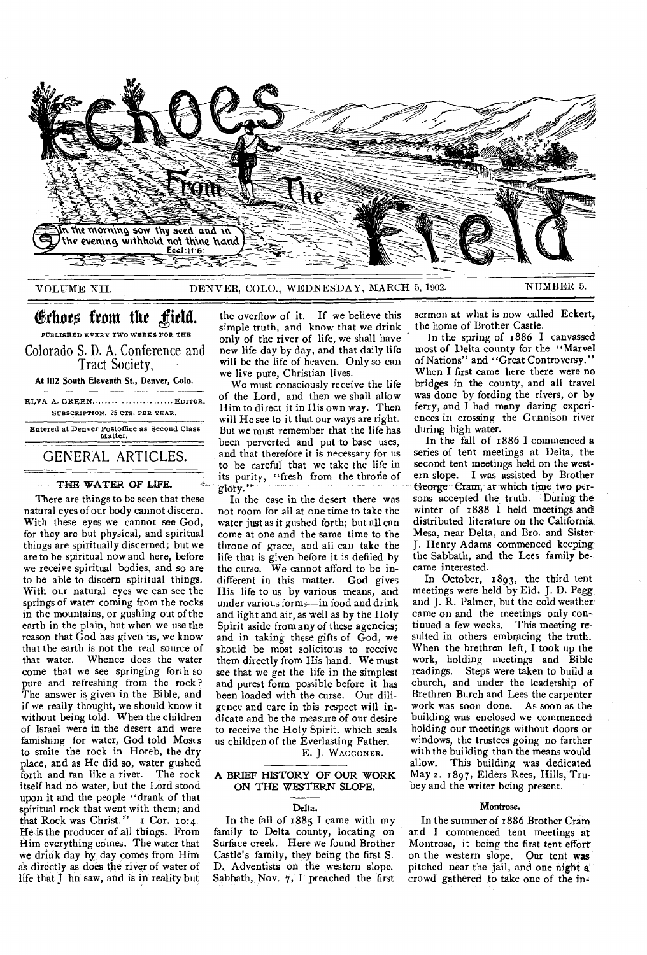

VOLUME XII. DENVER, COLO., WEDNESDAY, MARCH 5, 1902. NUMBER 5.

# Echoes from the field.

PUBLISHED EVERY TWO WEEKS FOR THE Colorado S. D. A. Conference and Tract Society,

At 1112 South Eleventh St., Denver, Colo.

ELVA A. GREEN, ..... ............ ...... EDITOR. SUBSCRIPTION, 25 CTS. PER YEAR. Entered at Denver Postoffice as Second Class Matter.

## GENERAL ARTICLES.

#### THE WATER OF LIFE.

There are things to be seen that these natural eyes of our body cannot discern. With these eyes we cannot see God, for they are but physical, and spiritual things are spiritually discerned; but we are to be spiritual now and here, before we receive spiritual bodies, and so are to be able to discern spiritual things. With our natural eyes we can see the springs of water coming from the rocks in the mountains, or gushing out of the earth in the plain, but when we use the reason that  $\tilde{G}$ od has given us, we know that the earth is not the real source of that water. Whence does the water come that we see springing forth so pure and refreshing from the rock ? The answer is given in the Bible, and if we really thought, we should know it without being told. When the children of Israel were in the desert and were famishing for water, God told Moses to smite the rock in Horeb, the dry place, and as He did so, water gushed forth and ran like a river. The rock itself had no water, but the Lord stood upon it and the people "drank of that spiritual rock that went with them; and that Rock was Christ." I Cor. 10:4. He is the producer of all things. From Him everything comes. The water that we drink day by day comes from Him as directly as does the river of water of life that J hn saw, and is in reality but

the overflow of it. If we believe this simple truth, and know that we drink only of the river of life, we shall have new life day by day, and that daily life will be the life of heaven. Only so can we live pure, Christian lives.

We must consciously receive the life of the Lord, and then we shall allow Him to direct it in His own way. Then will He see to it that our ways are right. But we must remember that the life has been perverted and put to base uses, and that therefore it is necessary for us to be careful that we take the life in its purity, "fresh from the throne of glory."

In the case in the desert there was not room for all at one time to take the water just as it gushed forth; but all can come at one and the same time to the throne of grace, and all can take the life that is given before it is defiled by the curse. We cannot afford to be indifferent in this matter. God gives His life to us by various means, and under various forms--in food and drink and light and air, as well as by the Holy Spirit aside from any of these agencies; and in taking these gifts of God, we should be most solicitous to receive them directly from His hand. We must see that we get the life in the simplest and purest form possible before it has been loaded with the curse. Our diligence and care in this respect will indicate and be the measure of our desire to receive the Holy Spirit. which seals us children of the Everlasting Father.

E. J. WAGGONER.

#### A BRIEF HISTORY OF OUR WORK ON THE WESTERN SLOPE.

#### Delta.

In the fall of 1885 I came with my family to Delta county, locating on Surface creek. Here we found Brother Castle's family, they being the first S. D. Adventists on the western slope. Sabbath, Nov. 7, I preached the first

sermon at what is now called Eckert, the home of Brother Castle.

In the spring of 1886 I canvassed most of Delta county for the "Marvel of Nations" and "Great Controversy." When I first came here there were no bridges in the county, and all travel was done by fording the rivers, or by ferry, and I had many daring experiences in crossing the Gunnison river during high water.

In the fall of 1886 I commenced a series of tent meetings at Delta, the second tent meetings held on the western slope. I was assisted by Brother George Cram, at which time two persons accepted the truth. During the winter of 1888 I held meetings and distributed literature on the California Mesa, near Delta, and Bro. and Sister-J. Henry Adams commenced keeping the Sabbath, and the Lees family became interested.

In October, 1893, the third tent meetings were held by Eld. J. D. Pegg and J. R. Palmer, but the cold weather came on and the meetings only continued a few weeks. This meeting resulted in others embracing the truth. When the brethren left, I took up the work, holding meetings and Bible readings. Steps were taken to build a church, and under the leadership of Brethren Burch and Lees the carpenter work was soon done. As soon as the building was enclosed we commenced holding our meetings without doors or windows, the trustees going no farther with the building than the means would allow. This building was dedicated May 2. 1897, Elders Rees, Hills, Trubey and the writer being present.

#### Montrose.

In the summer of 1886 Brother Cram and I commenced tent meetings at Montrose, it being the first tent effort on the western slope. Our tent was pitched near the jail, and one night a crowd gathered to take one of the in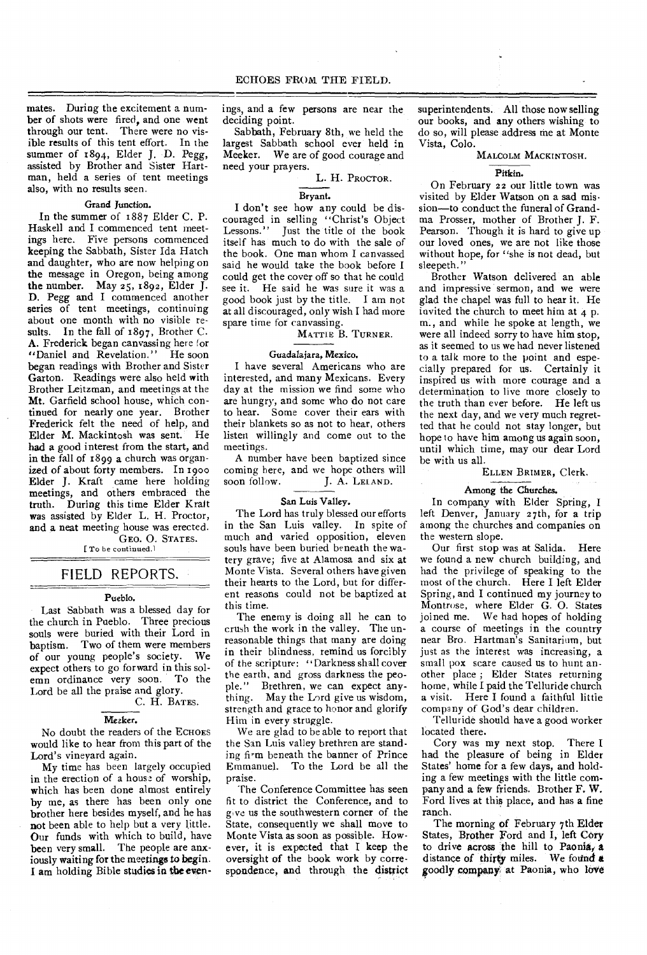mates. During the excitement a number of shots were fired, and one went through our tent. There were no visible results of this tent effort. In the summer of x894, Elder J. D. Pegg, assisted by Brother and Sister Hartman, held a series of tent meetings also, with no results seen.

### Grand Junction.

In the summer of 1887 Elder C. P. Haskell and I commenced tent meetings here. Five persons commenced keeping the Sabbath, Sister Ida Hatch and daughter, who are now helping on the message in Oregon, being among the number. May 25, 1892, Elder J. D. Pegg and I commenced another series of tent meetings, continuing about one month with no visible results. In the fall of 1897, Brother C. A. Frederick began canvassing here for "Daniel and Revelation." He soon began readings with Brother and Sister Garton. Readings were also held with Brother Leitzman, and meetings at the Mt. Garfield school house, which continued for nearly one year. Brother Frederick felt the need of help, and Elder M. Mackintosh was sent. He had a good interest from the start, and in the fall of  $1899$  a church was organized of about forty members. In 1900 Elder J. Kraft came here holding meetings, and others embraced the truth. During this time Elder Krait was assisted by Elder L. H. Proctor, and a neat meeting house was erected. GEO. 0. STATES.

[To be continued.]

## FIELD REPORTS.

#### Pueblo.

Last Sabbath was a blessed day for the church in Pueblo. Three precious souls were buried with their Lord in baptism. Two of them were members of our young people's society. We expect others to go forward in this solemn ordinance very soon. To the Lord be all the praise and glory.

# C. H. BATES.

### Meeker.

No doubt the readers of the ECHOES would like to hear from this part of the Lord's vineyard again.

My time has been largely occupied in the erection of a house of worship, which has been done almost entirely by me, as there has been only one brother here besides myself, and he has not been able to help but a very little. Our funds with which to build, have been very small. The people are anxiously waiting for the meetings to begin. I am holding Bible studies in the evenings, and a few persons are near the deciding point.

Sabbath, February 8th, we held the largest Sabbath school ever held in Meeker. We are of good courage and need your prayers.

L. H. PROCTOR.

#### Bryant.

I don't see how any could be discouraged in selling "Christ's Object Lessons." Just the title of the book itself has much to do with the sale of the book. One man whom I canvassed said he would take the book before I could get the cover off so that he could see it. He said he was sure it was a good book just by the title. I am not at all discouraged, only wish I had more spare time for canvassing.

MATTIE B. TURNER.

#### Guadalajara, Mexico.

I have several Americans who are interested, and many Mexicans. Every day at the mission we find some who are hungry, and some who do not care to hear. Some cover their ears with their blankets so as not to hear, others listen willingly and come out to the meetings.

A number have been baptized since coming here, and we hope others will<br>soon follow. J. A. LELAND. J. A. LELAND.

#### San Luis Valley.

The Lord has truly blessed our efforts in the San Luis valley. In spite of much and varied opposition, eleven souls have been buried beneath the watery grave; five at Alamosa and six at Monte Vista. Several others have given their hearts to the Lord, but for different reasons could not be baptized at this time.

The enemy is doing all he can to crush the work in the valley. The unreasonable things that many are doing in their blindness, remind us forcibly of the scripture: ''Darkness shall cover the earth, and gross darkness the people." Brethren, we can expect anything. May the Lord give us wisdom, strength and grace to honor and glorify Him in every struggle.

We are glad to be able to report that the San Luis valley brethren are standing firm beneath the banner of Prince Emmanuel. To the Lord be all the praise.

The Conference Committee has seen fit to district the Conference, and to give us the southwestern corner of the State, consequently we shall move to Monte Vista as soon as possible. However, it is expected that I keep the oversight of the book work by correspondence, and through the district superintendents. All those now selling our books, and any others wishing to do so, will please address me at Monte Vista, Colo.

MALCOLM MACKINTOSH.

#### Pitkin.

On February 22 our little town was visited by Elder Watson on a sad mission—to conduct the funeral of Grandma Prosser, mother of Brother J. F. Pearson. Though it is hard to give up our loved ones, we are not like those without hope, for "she is not dead, but sleepeth."

Brother Watson delivered an able and impressive sermon, and we were glad the chapel was full to hear it. He invited the church to meet him at  $4$  p. m., and while he spoke at length, we were all indeed sorry to have him stop, as it seemed to us we had never listened to a talk more to the point and especially prepared for us. Certainly it inspired us with more courage and a determination to live more closely to the truth than ever before. He left us the next day, and we very much regretted that he could not stay longer, but hope to have him among us again soon, until which time, may our dear Lord be with us all.

#### ELLEN BRIMER, Clerk.

#### Among the Churches.

In company with Elder Spring, I left Denver, January 27th, for a trip among the churches and companies on the western slope.

Our first stop was at Salida. Here we found a new church building, and had the privilege of speaking to the most of the church. Here I left Elder Spring, and I continued my journey to Montrose, where Elder G. 0. States joined me. We had hopes of holding a course of meetings in the country near Bro. Hartman's Sanitarium, but just as the interest was increasing, a small pox scare caused us to hunt another place ; Elder States returning home, while I paid the Telluride church a visit. Here I found a faithful little company of God's dear children.

Telluride should have a good worker located there.

Cory was my next stop. There I had the pleasure of being in Elder States' home for a few days, and holding a few meetings with the little company and a few friends. Brother F. W. Ford lives at this place, and has a fine ranch.

The morning of February 7th Elder States, Brother Ford and I, left Cory to drive across the hill to Paonia, a distance of thirty miles. We found a goodly company at Paonia, who love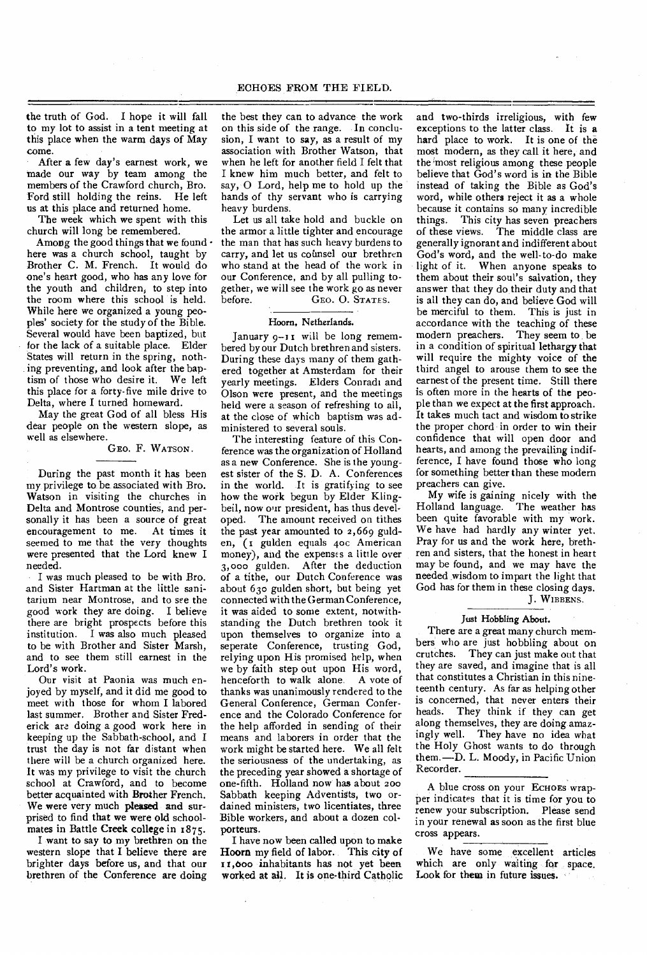the truth of God. I hope it will fall to my lot to assist in a tent meeting at this place when the warm days of May come.

After a few day's earnest work, we made our way by team among the members of the Crawford church, Bro. Ford still holding the reins. He left us at this place and returned home.

The week which we spent with this church will long be remembered.

Among the good things that we found  $\cdot$ here was a church school, taught by Brother C. M. French. It would do one's heart good, who has any love for the youth and children, to step into the room where this school is held. While here we organized a young peoples' society for the study of the Bible. Several would have been baptized, but for the lack of a suitable place. Elder States will return in the spring, nothing preventing, and look after the baptism of those who desire it. We left this place for a forty-five mile drive to Delta, where I turned homeward.

May the great God of all bless His dear people on the western slope, as well as elsewhere.

#### GEO. F. WATSON.

During the past month it has been my privilege to be associated with Bro. Watson in visiting the churches in Delta and Montrose counties, and personally it has been a source of great encouragement to me. At times it seemed to me that the very thoughts were presented that the Lord knew I needed.

I was much pleased to be with Bro. and Sister Hartman at the little sanitarium near Montrose, and to see the good work they are doing. I believe there are bright prospects before this institution. I was also much pleased to be with Brother and Sister Marsh, and to see them still earnest in the Lord's work.

Our visit at Paonia was much enjoyed by myself, and it did me good to meet with those for whom I labored last summer. Brother and Sister Frederick are. doing a good work here in keeping up the Sabbath-school, and I trust the day is not far distant when there will be a church organized here. It was my privilege to visit the church school at Crawford, and to become better acquainted with Brother French. We were very much pleased and surprised to find that we were old schoolmates in Battle Creek college in 1875.

I want to say to my brethren on the western slope that I believe there are brighter days before us, and that our brethren of the Conference are doing

the best they can to advance the work on this side of the range. In conclusion, I want to say, as a result of my association with Brother Watson, that when he left for another field I felt that I knew him much better, and felt to say, 0 Lord, help me to hold up the hands of thy servant who is carrying heavy burdens.

Let us all take hold and buckle on the armor a little tighter and encourage the man that has such heavy burdens to carry, and let us counsel our brethren who stand at the head of the work in our Conference, and by all pulling together, we will see the work go as never before. GEO. O. STATES.

#### Hoorn, Netherlands.

January 9-11 will be long remembered by our Dutch brethren and sisters. During these days many of them gathered together at Amsterdam for their yearly meetings. Elders Conradi and Olson were present, and the meetings held were a season of refreshing to all, at the close of which baptism was administered to several souls.

The interesting feature of this Conference was the organization of Holland as a new Conference. She is the youngest sister of the S. D. A. Conferences in the world. It is gratifying to see how the work begun by Elder Klingbeil, now our president, has thus developed. The amount received on tithes the past year amounted to 2,669 gulden, (1 gulden equals aoc American money), and the expenses a little over 3,000 gulden. After the deduction of a tithe, our Dutch Conference was about 630 gulden short, but being yet connected with the German Conference, it was aided to some extent, notwithstanding the Dutch brethren took it upon themselves to organize into a seperate Conference, trusting God, relying upon His promised help, when we by faith step out upon His word, henceforth to walk alone. A vote of thanks was unanimously rendered to the General Conference, German Conference and the Colorado Conference for the help afforded in sending of their means and laborers in order that the work might be started here. We all felt the seriousness of the undertaking, as the preceding year showed a shortage of one-fifth. Holland now has about zoo Sabbath keeping Adventists, two ordained ministers, two licentiates, three Bible workers, and about a dozen colporteurs.

I have now been called upon to make Hoorn my field of labor. This city of r,000 inhabitants has not yet been worked at all. It is one-third Catholic and two-thirds irreligious, with few exceptions to the latter class. It is a hard place to work. It is one of the most modern, as they call it here, and the 'most religious among these people believe that God's word is in the Bible instead of taking the Bible as God's word, while others reject it as a whole because it contains so many incredible things. This city has seven preachers of these views. The middle class are generally ignorant and indifferent about God's word, and the well-to-do make light of it. When anyone speaks to them about their soul's salvation, they answer that they do their duty and that is all they can do, and believe God will be merciful to them. This is just in accordance with the teaching of these modern preachers. They seem to be in a condition of spiritual lethargy that will require the mighty voice of the third angel to arouse them to see the earnest of the present time. Still there is often more in the hearts of the people than we expect at the first approach. It takes much tact and wisdom to strike the proper chord in order to win their confidence that will open door and hearts, and among the prevailing indifference, I have found those who long for something better than these modern preachers can give.

My wife is gaining nicely with the Holland language. The weather has been quite favorable with my work. We have had hardly any winter yet. Pray for us and the work here, brethren and sisters, that the honest in heart may be found, and we may have the needed wisdom to impart the light that God has for them in these closing days. J. WIBBENS.

#### Just Hobbling About.

There are a great many church members who are just hobbling about on crutches. They can just make out that they are saved, and imagine that is all that constitutes a Christian in this nineteenth century. As far as helping other is concerned, that never enters their heads. They think if they can get along themselves, they are doing amazingly well. They have no idea what the Holy Ghost wants to do through them.—D. L. Moody, in Pacific Union Recorder.

A blue cross on your ECHOES wrapper indicates that it is time for you to renew your subscription. Please send in your renewal as soon as the first blue cross appears.

We have some excellent articles which are only waiting for space. Look for them in future issues.